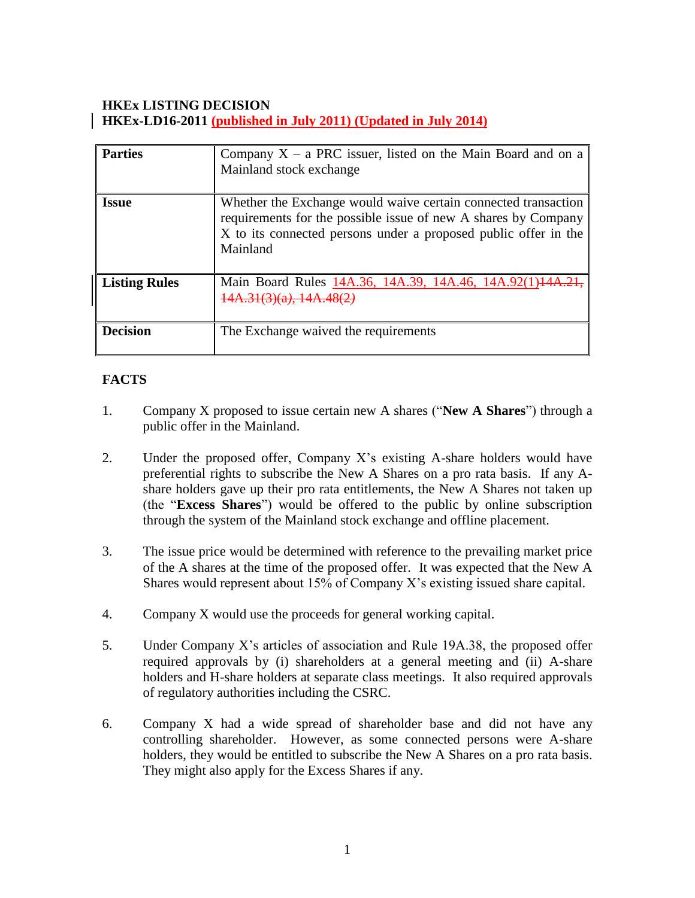# **HKEx LISTING DECISION HKEx-LD16-2011 (published in July 2011) (Updated in July 2014)**

| <b>Parties</b>       | Company $X - a$ PRC issuer, listed on the Main Board and on a<br>Mainland stock exchange                                                                                                                        |
|----------------------|-----------------------------------------------------------------------------------------------------------------------------------------------------------------------------------------------------------------|
| <b>Issue</b>         | Whether the Exchange would waive certain connected transaction<br>requirements for the possible issue of new A shares by Company<br>X to its connected persons under a proposed public offer in the<br>Mainland |
| <b>Listing Rules</b> | Main Board Rules 14A.36, 14A.39, 14A.46, 14A.92(1)                                                                                                                                                              |
| <b>Decision</b>      | The Exchange waived the requirements                                                                                                                                                                            |

# **FACTS**

- 1. Company X proposed to issue certain new A shares ("**New A Shares**") through a public offer in the Mainland.
- 2. Under the proposed offer, Company X's existing A-share holders would have preferential rights to subscribe the New A Shares on a pro rata basis. If any Ashare holders gave up their pro rata entitlements, the New A Shares not taken up (the "**Excess Shares**") would be offered to the public by online subscription through the system of the Mainland stock exchange and offline placement.
- 3. The issue price would be determined with reference to the prevailing market price of the A shares at the time of the proposed offer. It was expected that the New A Shares would represent about 15% of Company X's existing issued share capital.
- 4. Company X would use the proceeds for general working capital.
- 5. Under Company X's articles of association and Rule 19A.38, the proposed offer required approvals by (i) shareholders at a general meeting and (ii) A-share holders and H-share holders at separate class meetings. It also required approvals of regulatory authorities including the CSRC.
- 6. Company X had a wide spread of shareholder base and did not have any controlling shareholder. However, as some connected persons were A-share holders, they would be entitled to subscribe the New A Shares on a pro rata basis. They might also apply for the Excess Shares if any.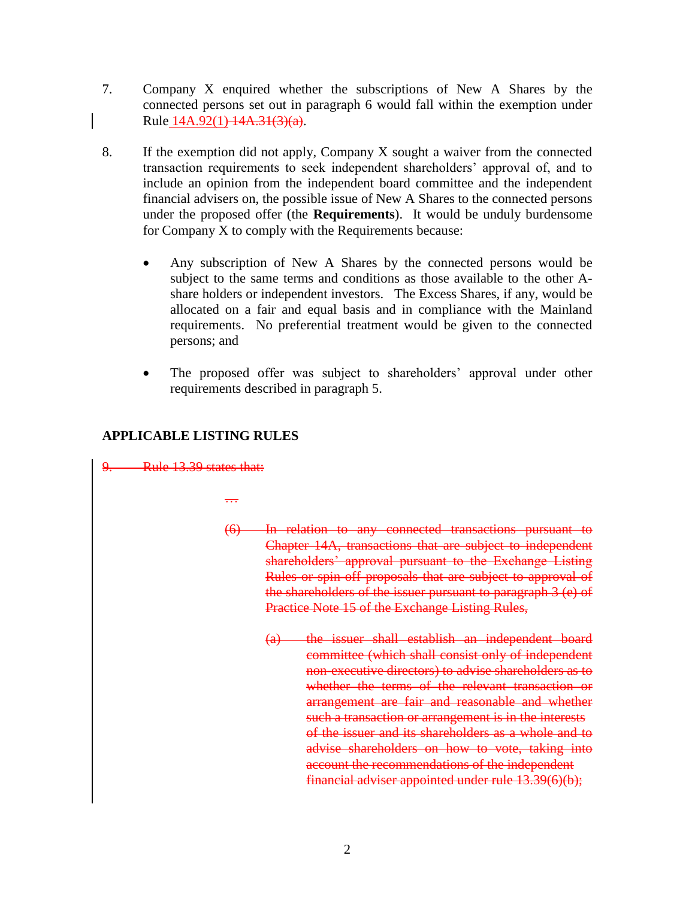- 7. Company X enquired whether the subscriptions of New A Shares by the connected persons set out in paragraph 6 would fall within the exemption under Rule 14A.92(1) 14A.31(3)(a).
- 8. If the exemption did not apply, Company X sought a waiver from the connected transaction requirements to seek independent shareholders' approval of, and to include an opinion from the independent board committee and the independent financial advisers on, the possible issue of New A Shares to the connected persons under the proposed offer (the **Requirements**). It would be unduly burdensome for Company X to comply with the Requirements because:
	- Any subscription of New A Shares by the connected persons would be subject to the same terms and conditions as those available to the other Ashare holders or independent investors. The Excess Shares, if any, would be allocated on a fair and equal basis and in compliance with the Mainland requirements. No preferential treatment would be given to the connected persons; and
	- The proposed offer was subject to shareholders' approval under other requirements described in paragraph 5.

# **APPLICABLE LISTING RULES**

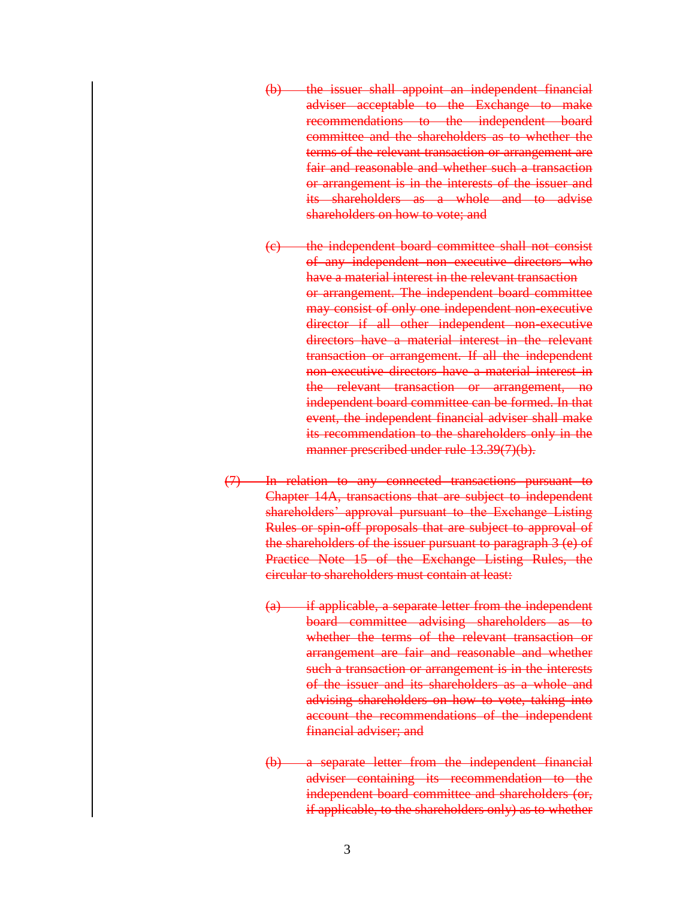- (b) the issuer shall appoint an independent financial adviser acceptable to the Exchange to make recommendations to the independent board committee and the shareholders as to whether the terms of the relevant transaction or arrangement are fair and reasonable and whether such a transaction or arrangement is in the interests of the issuer and its shareholders as a whole and to advise shareholders on how to vote; and
- (c) the independent board committee shall not consist of any independent non executive directors who have a material interest in the relevant transaction or arrangement. The independent board committee may consist of only one independent non-executive director if all other independent non-executive directors have a material interest in the relevant transaction or arrangement. If all the independent non-executive directors have a material interest in the relevant transaction or arrangement, no independent board committee can be formed. In that event, the independent financial adviser shall make its recommendation to the shareholders only in the manner prescribed under rule 13.39(7)(b).
- (7) In relation to any connected transactions pursuant to Chapter 14A, transactions that are subject to independent shareholders' approval pursuant to the Exchange Listing Rules or spin-off proposals that are subject to approval of the shareholders of the issuer pursuant to paragraph 3 (e) of Practice Note 15 of the Exchange Listing Rules, the circular to shareholders must contain at least:
	- (a) if applicable, a separate letter from the independent board committee advising shareholders as to whether the terms of the relevant transaction or arrangement are fair and reasonable and whether such a transaction or arrangement is in the interests of the issuer and its shareholders as a whole and advising shareholders on how to vote, taking into account the recommendations of the independent financial adviser; and
	- (b) a separate letter from the independent financial adviser containing its recommendation to the independent board committee and shareholders (or, if applicable, to the shareholders only) as to whether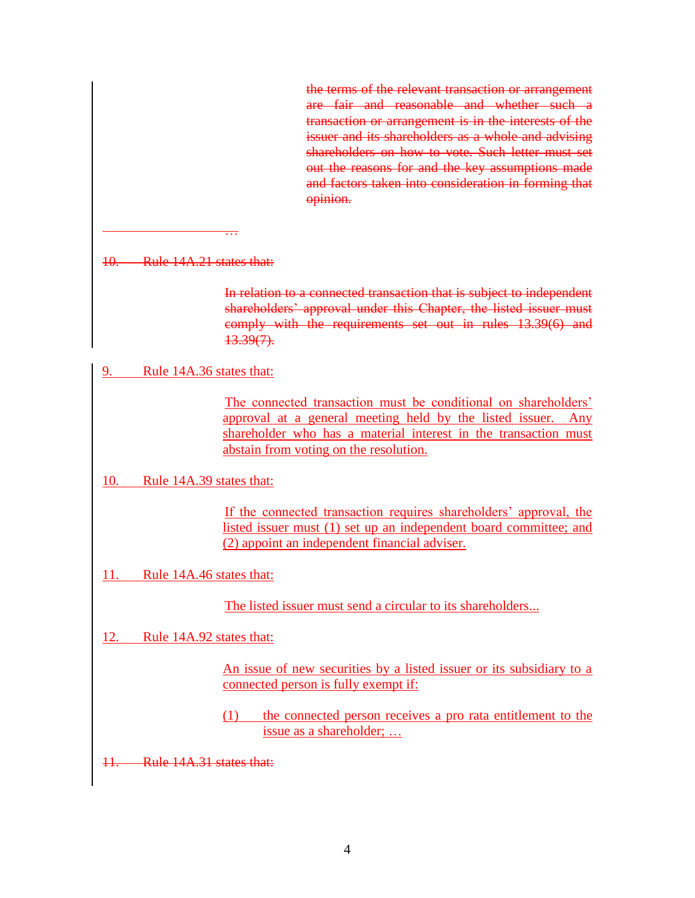the terms of the relevant transaction or arrangement are fair and reasonable and whether such a transaction or arrangement is in the interests of the issuer and its shareholders as a whole and advising shareholders on how to vote. Such letter must set out the reasons for and the key assumptions made and factors taken into consideration in forming that opinion.

10. Rule 14A.21 states that:

…

In relation to a connected transaction that is subject to independent shareholders' approval under this Chapter, the listed issuer must comply with the requirements set out in rules 13.39(6) and  $13.39(7)$ .

9. Rule 14A.36 states that:

The connected transaction must be conditional on shareholders' approval at a general meeting held by the listed issuer. Any shareholder who has a material interest in the transaction must abstain from voting on the resolution.

10. Rule 14A.39 states that:

If the connected transaction requires shareholders' approval, the listed issuer must (1) set up an independent board committee; and (2) appoint an independent financial adviser.

11. Rule 14A.46 states that:

The listed issuer must send a circular to its shareholders...

12. Rule 14A.92 states that:

An issue of new securities by a listed issuer or its subsidiary to a connected person is fully exempt if:

(1) the connected person receives a pro rata entitlement to the issue as a shareholder; …

11. Rule 14A.31 states that: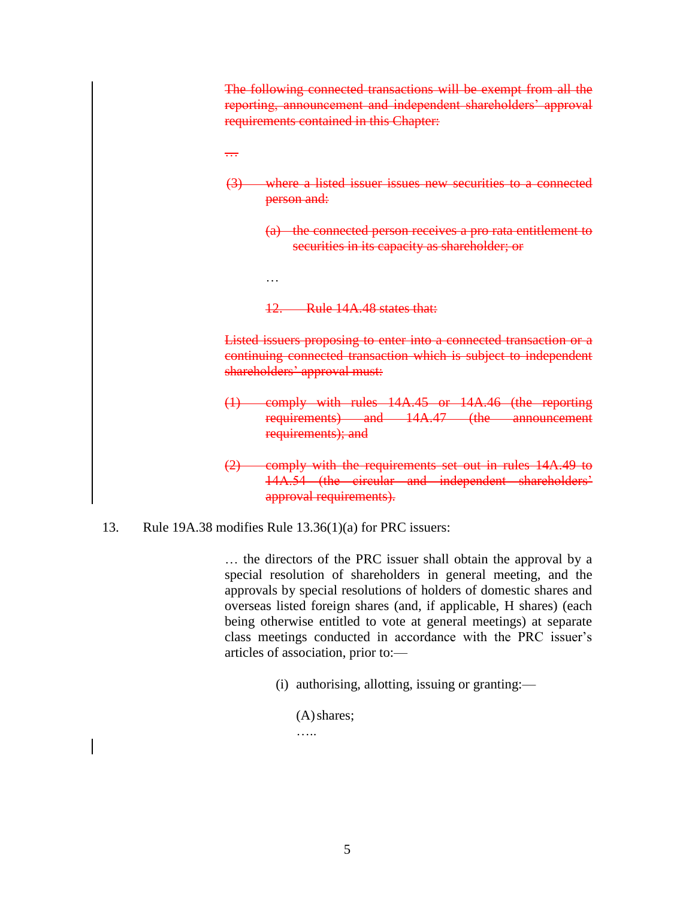The following connected transactions will be exempt from all the reporting, announcement and independent shareholders' approval requirements contained in this Chapter:

- …
- (3) where a listed issuer issues new securities to a connected person and:
	- (a) the connected person receives a pro rata entitlement to securities in its capacity as shareholder; or
	- 12. Rule 14A.48 states that:

Listed issuers proposing to enter into a connected transaction or a continuing connected transaction which is subject to independent shareholders' approval must:

- (1) comply with rules 14A.45 or 14A.46 (the reporting requirements) and 14A.47 (the announcement requirements); and
- (2) comply with the requirements set out in rules 14A.49 to 14A.54 (the circular and independent shareholders' approval requirements).
- 13. Rule 19A.38 modifies Rule 13.36(1)(a) for PRC issuers:

…

… the directors of the PRC issuer shall obtain the approval by a special resolution of shareholders in general meeting, and the approvals by special resolutions of holders of domestic shares and overseas listed foreign shares (and, if applicable, H shares) (each being otherwise entitled to vote at general meetings) at separate class meetings conducted in accordance with the PRC issuer's articles of association, prior to:—

(i) authorising, allotting, issuing or granting:—

(A)shares;

…..